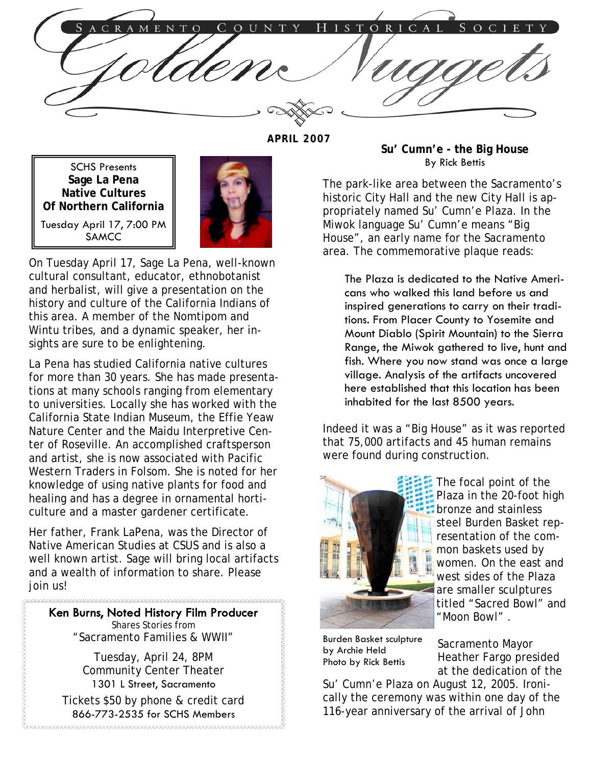ISTORICAL C R A COUNTY S O C I T O H  $E$  $N$ 

**APRIL 2007** 

SCHS Presents **Sage La Pena Native Cultures Of Northern California**  Tuesday April 17, 7:00 PM SAMCC



On Tuesday April 17, Sage La Pena, well-known cultural consultant, educator, ethnobotanist and herbalist, will give a presentation on the history and culture of the California Indians of this area. A member of the Nomtipom and Wintu tribes, and a dynamic speaker, her insights are sure to be enlightening.

La Pena has studied California native cultures for more than 30 years. She has made presentations at many schools ranging from elementary to universities. Locally she has worked with the California State Indian Museum, the Effie Yeaw Nature Center and the Maidu Interpretive Center of Roseville. An accomplished craftsperson and artist, she is now associated with Pacific Western Traders in Folsom. She is noted for her knowledge of using native plants for food and healing and has a degree in ornamental horticulture and a master gardener certificate.

Her father, Frank LaPena, was the Director of Native American Studies at CSUS and is also a well known artist. Sage will bring local artifacts and a wealth of information to share. Please join us!

Ken Burns, Noted History Film Producer Shares Stories from "Sacramento Families & WWII"

Tuesday, April 24, 8PM Community Center Theater 1301 L Street, Sacramento

Tickets \$50 by phone & credit card 866-773-2535 for SCHS Members 

**Su' Cumn'e - the Big House**  By Rick Bettis

The park-like area between the Sacramento's historic City Hall and the new City Hall is appropriately named Su' Cumn'e Plaza. In the Miwok language Su' Cumn'e means "Big House", an early name for the Sacramento area. The commemorative plaque reads:

The Plaza is dedicated to the Native Americans who walked this land before us and inspired generations to carry on their traditions. From Placer County to Yosemite and Mount Diablo (Spirit Mountain) to the Sierra Range, the Miwok gathered to live, hunt and fish. Where you now stand was once a large village. Analysis of the artifacts uncovered here established that this location has been inhabited for the last 8500 years.

Indeed it was a "Big House" as it was reported that 75,000 artifacts and 45 human remains were found during construction.



The focal point of the Plaza in the 20-foot high bronze and stainless steel Burden Basket representation of the common baskets used by women. On the east and west sides of the Plaza are smaller sculptures titled "Sacred Bowl" and "Moon Bowl" .

Burden Basket sculpture by Archie Held Photo by Rick Bettis

Sacramento Mayor Heather Fargo presided at the dedication of the

Su' Cumn'e Plaza on August 12, 2005. Ironically the ceremony was within one day of the 116-year anniversary of the arrival of John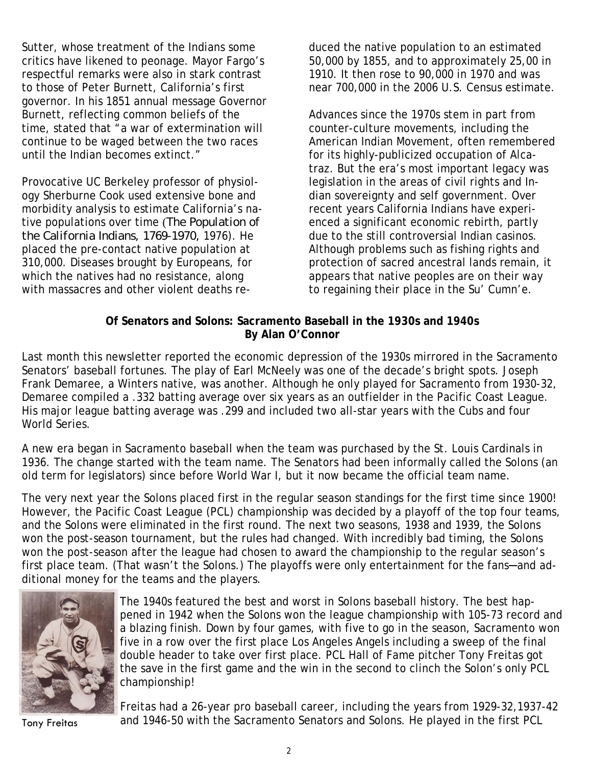Sutter, whose treatment of the Indians some critics have likened to peonage. Mayor Fargo's respectful remarks were also in stark contrast to those of Peter Burnett, California's first governor. In his 1851 annual message Governor Burnett, reflecting common beliefs of the time, stated that "a war of extermination will continue to be waged between the two races until the Indian becomes extinct."

Provocative UC Berkeley professor of physiology Sherburne Cook used extensive bone and morbidity analysis to estimate California's native populations over time (*The Population of the California Indians, 1769-1970,* 1976). He placed the pre-contact native population at 310,000. Diseases brought by Europeans, for which the natives had no resistance, along with massacres and other violent deaths re-

duced the native population to an estimated 50,000 by 1855, and to approximately 25,00 in 1910. It then rose to 90,000 in 1970 and was near 700,000 in the 2006 U.S. Census estimate.

Advances since the 1970s stem in part from counter-culture movements, including the American Indian Movement, often remembered for its highly-publicized occupation of Alcatraz. But the era's most important legacy was legislation in the areas of civil rights and Indian sovereignty and self government. Over recent years California Indians have experienced a significant economic rebirth, partly due to the still controversial Indian casinos. Although problems such as fishing rights and protection of sacred ancestral lands remain, it appears that native peoples are on their way to regaining their place in the Su' Cumn'e.

## **Of Senators and Solons: Sacramento Baseball in the 1930s and 1940s By Alan O'Connor**

Last month this newsletter reported the economic depression of the 1930s mirrored in the Sacramento Senators' baseball fortunes. The play of Earl McNeely was one of the decade's bright spots. Joseph Frank Demaree, a Winters native, was another. Although he only played for Sacramento from 1930-32, Demaree compiled a .332 batting average over six years as an outfielder in the Pacific Coast League. His major league batting average was .299 and included two all-star years with the Cubs and four World Series.

A new era began in Sacramento baseball when the team was purchased by the St. Louis Cardinals in 1936. The change started with the team name. The Senators had been informally called the Solons (an old term for legislators) since before World War I, but it now became the official team name.

The very next year the Solons placed first in the regular season standings for the first time since 1900! However, the Pacific Coast League (PCL) championship was decided by a playoff of the top four teams, and the Solons were eliminated in the first round. The next two seasons, 1938 and 1939, the Solons won the post-season tournament, but the rules had changed. With incredibly bad timing, the Solons won the post-season after the league had chosen to award the championship to the regular season's first place team. (That wasn't the Solons.) The playoffs were only entertainment for the fans-and additional money for the teams and the players.



The 1940s featured the best and worst in Solons baseball history. The best happened in 1942 when the Solons won the league championship with 105-73 record and a blazing finish. Down by four games, with five to go in the season, Sacramento won five in a row over the first place Los Angeles Angels including a sweep of the final double header to take over first place. PCL Hall of Fame pitcher Tony Freitas got the save in the first game and the win in the second to clinch the Solon's only PCL championship!

Freitas had a 26-year pro baseball career, including the years from 1929-32,1937-42 Tony Freitas and 1946-50 with the Sacramento Senators and Solons. He played in the first PCL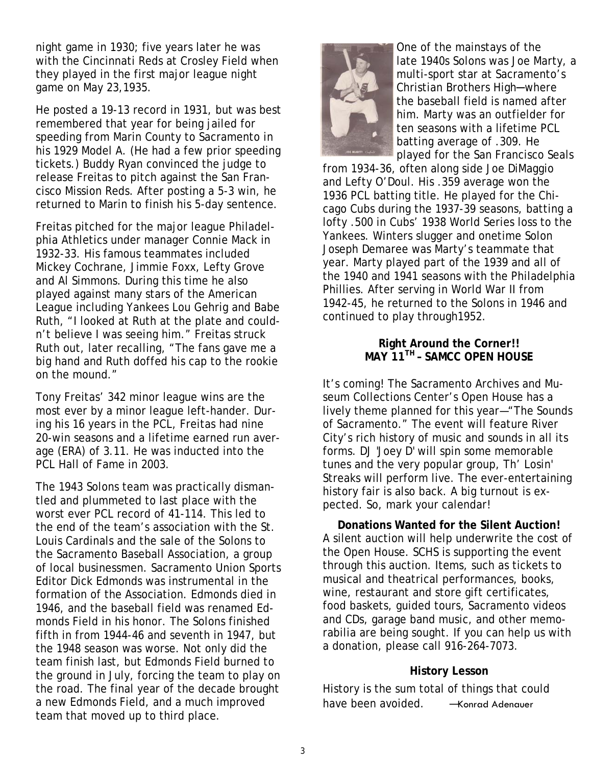night game in 1930; five years later he was with the Cincinnati Reds at Crosley Field when they played in the first major league night game on May 23,1935.

He posted a 19-13 record in 1931, but was best remembered that year for being jailed for speeding from Marin County to Sacramento in his 1929 Model A. (He had a few prior speeding tickets.) Buddy Ryan convinced the judge to release Freitas to pitch against the San Francisco Mission Reds. After posting a 5-3 win, he returned to Marin to finish his 5-day sentence.

Freitas pitched for the major league Philadelphia Athletics under manager Connie Mack in 1932-33. His famous teammates included Mickey Cochrane, Jimmie Foxx, Lefty Grove and Al Simmons. During this time he also played against many stars of the American League including Yankees Lou Gehrig and Babe Ruth, "I looked at Ruth at the plate and couldn't believe I was seeing him." Freitas struck Ruth out, later recalling, "The fans gave me a big hand and Ruth doffed his cap to the rookie on the mound."

Tony Freitas' 342 minor league wins are the most ever by a minor league left-hander. During his 16 years in the PCL, Freitas had nine 20-win seasons and a lifetime earned run average (ERA) of 3.11. He was inducted into the PCL Hall of Fame in 2003.

The 1943 Solons team was practically dismantled and plummeted to last place with the worst ever PCL record of 41-114. This led to the end of the team's association with the St. Louis Cardinals and the sale of the Solons to the Sacramento Baseball Association, a group of local businessmen. Sacramento Union Sports Editor Dick Edmonds was instrumental in the formation of the Association. Edmonds died in 1946, and the baseball field was renamed Edmonds Field in his honor. The Solons finished fifth in from 1944-46 and seventh in 1947, but the 1948 season was worse. Not only did the team finish last, but Edmonds Field burned to the ground in July, forcing the team to play on the road. The final year of the decade brought a new Edmonds Field, and a much improved team that moved up to third place.



One of the mainstays of the late 1940s Solons was Joe Marty, a multi-sport star at Sacramento's Christian Brothers High─where the baseball field is named after him. Marty was an outfielder for ten seasons with a lifetime PCL batting average of .309. He played for the San Francisco Seals

from 1934-36, often along side Joe DiMaggio and Lefty O'Doul. His .359 average won the 1936 PCL batting title. He played for the Chicago Cubs during the 1937-39 seasons, batting a lofty .500 in Cubs' 1938 World Series loss to the Yankees. Winters slugger and onetime Solon Joseph Demaree was Marty's teammate that year. Marty played part of the 1939 and all of the 1940 and 1941 seasons with the Philadelphia Phillies. After serving in World War II from 1942-45, he returned to the Solons in 1946 and continued to play through1952.

## **Right Around the Corner!! MAY 11TH – SAMCC OPEN HOUSE**

It's coming! The Sacramento Archives and Museum Collections Center's Open House has a lively theme planned for this year—"The Sounds of Sacramento." The event will feature River City's rich history of music and sounds in all its forms. DJ 'Joey D' will spin some memorable tunes and the very popular group, Th' Losin' Streaks will perform live. The ever-entertaining history fair is also back. A big turnout is expected. So, mark your calendar!

**Donations Wanted for the Silent Auction!**  A silent auction will help underwrite the cost of the Open House. SCHS is supporting the event through this auction. Items, such as tickets to musical and theatrical performances, books, wine, restaurant and store gift certificates, food baskets, guided tours, Sacramento videos and CDs, garage band music, and other memorabilia are being sought. If you can help us with a donation, please call 916-264-7073.

## **History Lesson**

History is the sum total of things that could have been avoided. - Konrad Adenauer